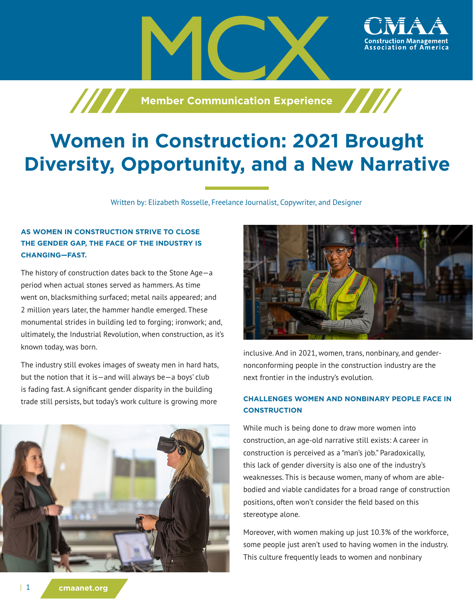



ssociation of America،

# **Women in Construction: 2021 Brought Diversity, Opportunity, and a New Narrative**

Written by: Elizabeth Rosselle, Freelance Journalist, Copywriter, and Designer

# **AS WOMEN IN CONSTRUCTION STRIVE TO CLOSE THE GENDER GAP, THE FACE OF THE INDUSTRY IS CHANGING—FAST.**

The history of construction dates back to the Stone Age—a period when actual stones served as hammers. As time went on, blacksmithing surfaced; metal nails appeared; and 2 million years later, the hammer handle emerged. These monumental strides in building led to forging; ironwork; and, ultimately, the Industrial Revolution, when construction, as it's known today, was born.

The industry still evokes images of sweaty men in hard hats, but the notion that it is—and will always be—a boys' club is fading fast. A significant gender disparity in the building trade still persists, but today's work culture is growing more





inclusive. And in 2021, women, trans, nonbinary, and gendernonconforming people in the construction industry are the next frontier in the industry's evolution.

## **CHALLENGES WOMEN AND NONBINARY PEOPLE FACE IN CONSTRUCTION**

While much is being done to draw more women into construction, an age-old narrative still exists: A career in construction is perceived as a "man's job." Paradoxically, this lack of gender diversity is also one of the industry's weaknesses. This is because women, many of whom are ablebodied and viable candidates for a broad range of construction positions, often won't consider the field based on this stereotype alone.

Moreover, with women making up just 10.3% of the workforce, some people just aren't used to having women in the industry. This culture frequently leads to women and nonbinary

| 1 **cmaanet.org**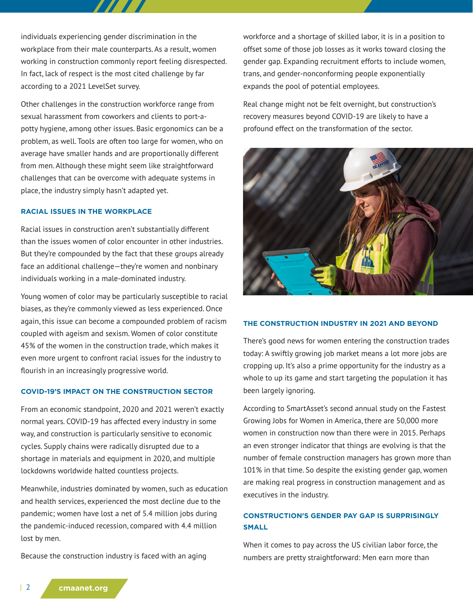individuals experiencing gender discrimination in the workplace from their male counterparts. As a result, women working in construction commonly report feeling disrespected. In fact, lack of respect is the most cited challenge by far according to a 2021 LevelSet survey.

Other challenges in the construction workforce range from sexual harassment from coworkers and clients to port-apotty hygiene, among other issues. Basic ergonomics can be a problem, as well. Tools are often too large for women, who on average have smaller hands and are proportionally different from men. Although these might seem like straightforward challenges that can be overcome with adequate systems in place, the industry simply hasn't adapted yet.

#### **RACIAL ISSUES IN THE WORKPLACE**

Racial issues in construction aren't substantially different than the issues women of color encounter in other industries. But they're compounded by the fact that these groups already face an additional challenge—they're women and nonbinary individuals working in a male-dominated industry.

Young women of color may be particularly susceptible to racial biases, as they're commonly viewed as less experienced. Once again, this issue can become a compounded problem of racism coupled with ageism and sexism. Women of color constitute 45% of the women in the construction trade, which makes it even more urgent to confront racial issues for the industry to flourish in an increasingly progressive world.

### **COVID-19'S IMPACT ON THE CONSTRUCTION SECTOR**

From an economic standpoint, 2020 and 2021 weren't exactly normal years. COVID-19 has affected every industry in some way, and construction is particularly sensitive to economic cycles. Supply chains were radically disrupted due to a shortage in materials and equipment in 2020, and multiple lockdowns worldwide halted countless projects.

Meanwhile, industries dominated by women, such as education and health services, experienced the most decline due to the pandemic; women have lost a net of 5.4 million jobs during the pandemic-induced recession, compared with 4.4 million lost by men.

Because the construction industry is faced with an aging

workforce and a shortage of skilled labor, it is in a position to offset some of those job losses as it works toward closing the gender gap. Expanding recruitment efforts to include women, trans, and gender-nonconforming people exponentially expands the pool of potential employees.

Real change might not be felt overnight, but construction's recovery measures beyond COVID-19 are likely to have a profound effect on the transformation of the sector.



#### **THE CONSTRUCTION INDUSTRY IN 2021 AND BEYOND**

There's good news for women entering the construction trades today: A swiftly growing job market means a lot more jobs are cropping up. It's also a prime opportunity for the industry as a whole to up its game and start targeting the population it has been largely ignoring.

According to SmartAsset's second annual study on the Fastest Growing Jobs for Women in America, there are 50,000 more women in construction now than there were in 2015. Perhaps an even stronger indicator that things are evolving is that the number of female construction managers has grown more than 101% in that time. So despite the existing gender gap, women are making real progress in construction management and as executives in the industry.

## **CONSTRUCTION'S GENDER PAY GAP IS SURPRISINGLY SMALL**

When it comes to pay across the US civilian labor force, the numbers are pretty straightforward: Men earn more than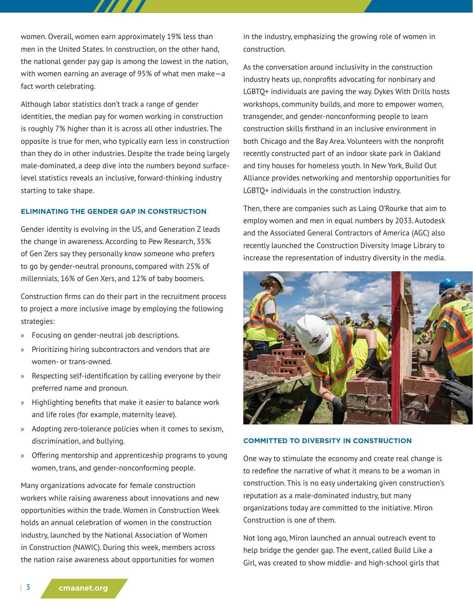women. Overall, women earn approximately 19% less than men in the United States. In construction, on the other hand, the national gender pay gap is among the lowest in the nation, with women earning an average of 95% of what men make—a fact worth celebrating.

Although labor statistics don't track a range of gender identities, the median pay for women working in construction is roughly 7% higher than it is across all other industries. The opposite is true for men, who typically earn less in construction than they do in other industries. Despite the trade being largely male-dominated, a deep dive into the numbers beyond surfacelevel statistics reveals an inclusive, forward-thinking industry starting to take shape.

#### **ELIMINATING THE GENDER GAP IN CONSTRUCTION**

Gender identity is evolving in the US, and Generation Z leads the change in awareness. According to Pew Research, 35% of Gen Zers say they personally know someone who prefers to go by gender-neutral pronouns, compared with 25% of millennials, 16% of Gen Xers, and 12% of baby boomers.

Construction firms can do their part in the recruitment process to project a more inclusive image by employing the following strategies:

- » Focusing on gender-neutral job descriptions.
- » Prioritizing hiring subcontractors and vendors that are women- or trans-owned.
- » Respecting self-identification by calling everyone by their preferred name and pronoun.
- » Highlighting benefits that make it easier to balance work and life roles (for example, maternity leave).
- » Adopting zero-tolerance policies when it comes to sexism, discrimination, and bullying.
- » Offering mentorship and apprenticeship programs to young women, trans, and gender-nonconforming people.

Many organizations advocate for female construction workers while raising awareness about innovations and new opportunities within the trade. Women in Construction Week holds an annual celebration of women in the construction industry, launched by the National Association of Women in Construction (NAWIC). During this week, members across the nation raise awareness about opportunities for women

in the industry, emphasizing the growing role of women in construction.

As the conversation around inclusivity in the construction industry heats up, nonprofits advocating for nonbinary and LGBTQ+ individuals are paving the way. Dykes With Drills hosts workshops, community builds, and more to empower women, transgender, and gender-nonconforming people to learn construction skills firsthand in an inclusive environment in both Chicago and the Bay Area. Volunteers with the nonprofit recently constructed part of an indoor skate park in Oakland and tiny houses for homeless youth. In New York, Build Out Alliance provides networking and mentorship opportunities for LGBTQ+ individuals in the construction industry.

Then, there are companies such as Laing O'Rourke that aim to employ women and men in equal numbers by 2033. Autodesk and the Associated General Contractors of America (AGC) also recently launched the Construction Diversity Image Library to increase the representation of industry diversity in the media.



#### **COMMITTED TO DIVERSITY IN CONSTRUCTION**

One way to stimulate the economy and create real change is to redefine the narrative of what it means to be a woman in construction. This is no easy undertaking given construction's reputation as a male-dominated industry, but many organizations today are committed to the initiative. Miron Construction is one of them.

Not long ago, Miron launched an annual outreach event to help bridge the gender gap. The event, called Build Like a Girl, was created to show middle- and high-school girls that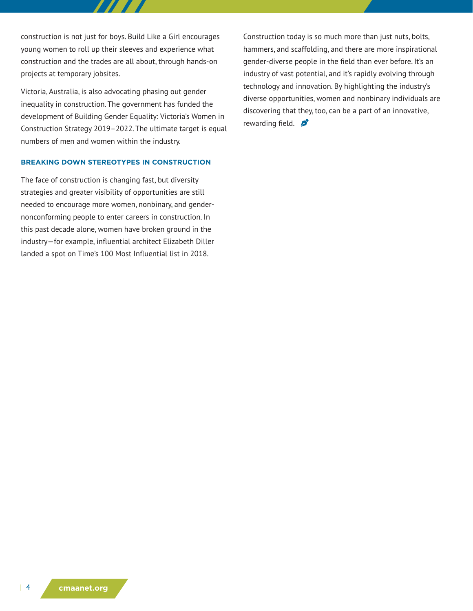construction is not just for boys. Build Like a Girl encourages young women to roll up their sleeves and experience what construction and the trades are all about, through hands-on projects at temporary jobsites.

Victoria, Australia, is also advocating phasing out gender inequality in construction. The government has funded the development of Building Gender Equality: Victoria's Women in Construction Strategy 2019–2022. The ultimate target is equal numbers of men and women within the industry.

## **BREAKING DOWN STEREOTYPES IN CONSTRUCTION**

The face of construction is changing fast, but diversity strategies and greater visibility of opportunities are still needed to encourage more women, nonbinary, and gendernonconforming people to enter careers in construction. In this past decade alone, women have broken ground in the industry—for example, influential architect Elizabeth Diller landed a spot on Time's 100 Most Influential list in 2018.

Construction today is so much more than just nuts, bolts, hammers, and scaffolding, and there are more inspirational gender-diverse people in the field than ever before. It's an industry of vast potential, and it's rapidly evolving through technology and innovation. By highlighting the industry's diverse opportunities, women and nonbinary individuals are discovering that they, too, can be a part of an innovative, rewarding field.  $\sum$